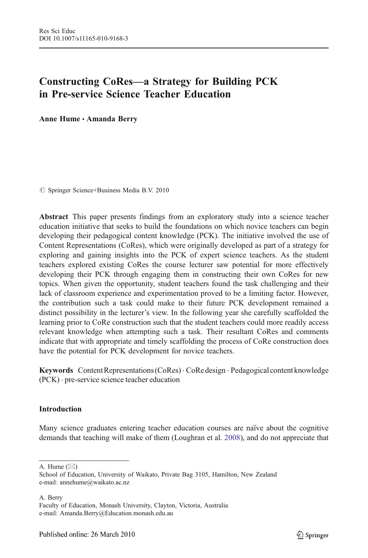# Constructing CoRes*—*a Strategy for Building PCK in Pre-service Science Teacher Education

Anne Hume · Amanda Berry

 $\circ$  Springer Science+Business Media B.V. 2010

Abstract This paper presents findings from an exploratory study into a science teacher education initiative that seeks to build the foundations on which novice teachers can begin developing their pedagogical content knowledge (PCK). The initiative involved the use of Content Representations (CoRes), which were originally developed as part of a strategy for exploring and gaining insights into the PCK of expert science teachers. As the student teachers explored existing CoRes the course lecturer saw potential for more effectively developing their PCK through engaging them in constructing their own CoRes for new topics. When given the opportunity, student teachers found the task challenging and their lack of classroom experience and experimentation proved to be a limiting factor. However, the contribution such a task could make to their future PCK development remained a distinct possibility in the lecturer's view. In the following year she carefully scaffolded the learning prior to CoRe construction such that the student teachers could more readily access relevant knowledge when attempting such a task. Their resultant CoRes and comments indicate that with appropriate and timely scaffolding the process of CoRe construction does have the potential for PCK development for novice teachers.

Keywords ContentRepresentations (CoRes) . CoRe design . Pedagogical content knowledge (PCK) . pre-service science teacher education

# Introduction

Many science graduates entering teacher education courses are naïve about the cognitive demands that teaching will make of them (Loughran et al. [2008](#page-14-0)), and do not appreciate that

A. Berry

Faculty of Education, Monash University, Clayton, Victoria, Australia e-mail: Amanda.Berry@Education.monash.edu.au

A. Hume  $(\boxtimes)$ 

School of Education, University of Waikato, Private Bag 3105, Hamilton, New Zealand e-mail: annehume@waikato.ac.nz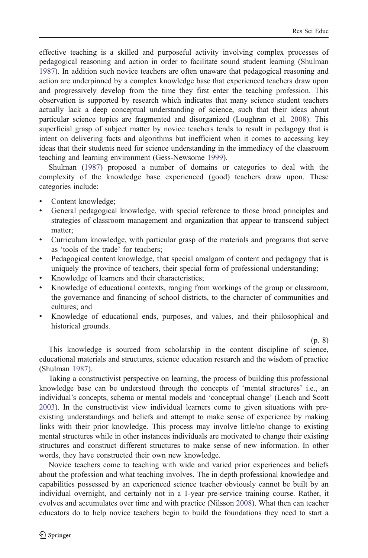effective teaching is a skilled and purposeful activity involving complex processes of pedagogical reasoning and action in order to facilitate sound student learning (Shulman [1987\)](#page-14-0). In addition such novice teachers are often unaware that pedagogical reasoning and action are underpinned by a complex knowledge base that experienced teachers draw upon and progressively develop from the time they first enter the teaching profession. This observation is supported by research which indicates that many science student teachers actually lack a deep conceptual understanding of science, such that their ideas about particular science topics are fragmented and disorganized (Loughran et al. [2008](#page-14-0)). This superficial grasp of subject matter by novice teachers tends to result in pedagogy that is intent on delivering facts and algorithms but inefficient when it comes to accessing key ideas that their students need for science understanding in the immediacy of the classroom teaching and learning environment (Gess-Newsome [1999\)](#page-14-0).

Shulman ([1987\)](#page-14-0) proposed a number of domains or categories to deal with the complexity of the knowledge base experienced (good) teachers draw upon. These categories include:

- Content knowledge;
- General pedagogical knowledge, with special reference to those broad principles and strategies of classroom management and organization that appear to transcend subject matter;
- & Curriculum knowledge, with particular grasp of the materials and programs that serve as 'tools of the trade' for teachers;
- Pedagogical content knowledge, that special amalgam of content and pedagogy that is uniquely the province of teachers, their special form of professional understanding;
- Knowledge of learners and their characteristics;
- & Knowledge of educational contexts, ranging from workings of the group or classroom, the governance and financing of school districts, to the character of communities and cultures; and
- & Knowledge of educational ends, purposes, and values, and their philosophical and historical grounds.

(p. 8)

This knowledge is sourced from scholarship in the content discipline of science, educational materials and structures, science education research and the wisdom of practice (Shulman [1987](#page-14-0)).

Taking a constructivist perspective on learning, the process of building this professional knowledge base can be understood through the concepts of 'mental structures' i.e., an individual's concepts, schema or mental models and 'conceptual change' (Leach and Scott [2003\)](#page-14-0). In the constructivist view individual learners come to given situations with preexisting understandings and beliefs and attempt to make sense of experience by making links with their prior knowledge. This process may involve little/no change to existing mental structures while in other instances individuals are motivated to change their existing structures and construct different structures to make sense of new information. In other words, they have constructed their own new knowledge.

Novice teachers come to teaching with wide and varied prior experiences and beliefs about the profession and what teaching involves. The in depth professional knowledge and capabilities possessed by an experienced science teacher obviously cannot be built by an individual overnight, and certainly not in a 1-year pre-service training course. Rather, it evolves and accumulates over time and with practice (Nilsson [2008\)](#page-14-0). What then can teacher educators do to help novice teachers begin to build the foundations they need to start a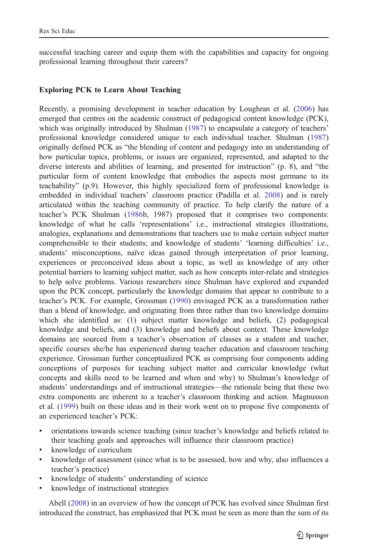successful teaching career and equip them with the capabilities and capacity for ongoing professional learning throughout their careers?

#### Exploring PCK to Learn About Teaching

Recently, a promising development in teacher education by Loughran et al. ([2006\)](#page-14-0) has emerged that centres on the academic construct of pedagogical content knowledge (PCK), which was originally introduced by Shulman [\(1987](#page-14-0)) to encapsulate a category of teachers' professional knowledge considered unique to each individual teacher. Shulman ([1987\)](#page-14-0) originally defined PCK as "the blending of content and pedagogy into an understanding of how particular topics, problems, or issues are organized, represented, and adapted to the diverse interests and abilities of learning, and presented for instruction" (p. 8), and "the particular form of content knowledge that embodies the aspects most germane to its teachability" (p.9). However, this highly specialized form of professional knowledge is embedded in individual teachers' classroom practice (Padilla et al. [2008\)](#page-14-0) and is rarely articulated within the teaching community of practice. To help clarify the nature of a teacher's PCK Shulman ([1986b](#page-14-0), 1987) proposed that it comprises two components: knowledge of what he calls 'representations' i.e., instructional strategies illustrations, analogies, explanations and demonstrations that teachers use to make certain subject matter comprehensible to their students; and knowledge of students' 'learning difficulties' i.e., students' misconceptions, naïve ideas gained through interpretation of prior learning, experiences or preconceived ideas about a topic, as well as knowledge of any other potential barriers to learning subject matter, such as how concepts inter-relate and strategies to help solve problems. Various researchers since Shulman have explored and expanded upon the PCK concept, particularly the knowledge domains that appear to contribute to a teacher's PCK. For example, Grossman ([1990\)](#page-14-0) envisaged PCK as a transformation rather than a blend of knowledge, and originating from three rather than two knowledge domains which she identified as: (1) subject matter knowledge and beliefs, (2) pedagogical knowledge and beliefs, and (3) knowledge and beliefs about context. These knowledge domains are sourced from a teacher's observation of classes as a student and teacher, specific courses she/he has experienced during teacher education and classroom teaching experience. Grossman further conceptualized PCK as comprising four components adding conceptions of purposes for teaching subject matter and curricular knowledge (what concepts and skills need to be learned and when and why) to Shulman's knowledge of students' understandings and of instructional strategies—the rationale being that these two extra components are inherent to a teacher's classroom thinking and action. Magnusson et al. [\(1999](#page-14-0)) built on these ideas and in their work went on to propose five components of an experienced teacher's PCK:

- & orientations towards science teaching (since teacher's knowledge and beliefs related to their teaching goals and approaches will influence their classroom practice)
- knowledge of curriculum
- & knowledge of assessment (since what is to be assessed, how and why, also influences a teacher's practice)
- & knowledge of students' understanding of science
- & knowledge of instructional strategies

Abell [\(2008](#page-14-0)) in an overview of how the concept of PCK has evolved since Shulman first introduced the construct, has emphasized that PCK must be seen as more than the sum of its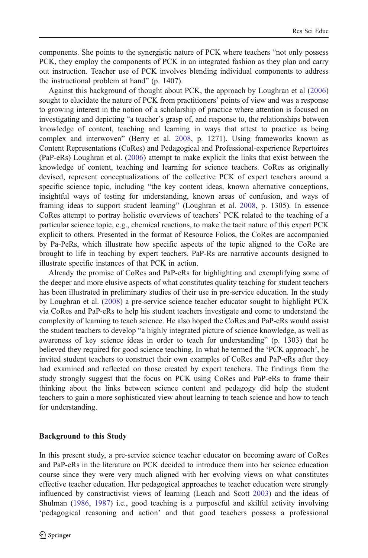components. She points to the synergistic nature of PCK where teachers "not only possess PCK, they employ the components of PCK in an integrated fashion as they plan and carry out instruction. Teacher use of PCK involves blending individual components to address the instructional problem at hand" (p. 1407).

Against this background of thought about PCK, the approach by Loughran et al ([2006\)](#page-14-0) sought to elucidate the nature of PCK from practitioners' points of view and was a response to growing interest in the notion of a scholarship of practice where attention is focused on investigating and depicting "a teacher's grasp of, and response to, the relationships between knowledge of content, teaching and learning in ways that attest to practice as being complex and interwoven" (Berry et al. [2008](#page-14-0), p. 1271). Using frameworks known as Content Representations (CoRes) and Pedagogical and Professional-experience Repertoires (PaP-eRs) Loughran et al. [\(2006](#page-14-0)) attempt to make explicit the links that exist between the knowledge of content, teaching and learning for science teachers. CoRes as originally devised, represent conceptualizations of the collective PCK of expert teachers around a specific science topic, including "the key content ideas, known alternative conceptions, insightful ways of testing for understanding, known areas of confusion, and ways of framing ideas to support student learning" (Loughran et al. [2008](#page-14-0), p. 1305). In essence CoRes attempt to portray holistic overviews of teachers' PCK related to the teaching of a particular science topic, e.g., chemical reactions, to make the tacit nature of this expert PCK explicit to others. Presented in the format of Resource Folios, the CoRes are accompanied by Pa-PeRs, which illustrate how specific aspects of the topic aligned to the CoRe are brought to life in teaching by expert teachers. PaP-Rs are narrative accounts designed to illustrate specific instances of that PCK in action.

Already the promise of CoRes and PaP-eRs for highlighting and exemplifying some of the deeper and more elusive aspects of what constitutes quality teaching for student teachers has been illustrated in preliminary studies of their use in pre-service education. In the study by Loughran et al. ([2008\)](#page-14-0) a pre-service science teacher educator sought to highlight PCK via CoRes and PaP-eRs to help his student teachers investigate and come to understand the complexity of learning to teach science. He also hoped the CoRes and PaP-eRs would assist the student teachers to develop "a highly integrated picture of science knowledge, as well as awareness of key science ideas in order to teach for understanding" (p. 1303) that he believed they required for good science teaching. In what he termed the 'PCK approach', he invited student teachers to construct their own examples of CoRes and PaP-eRs after they had examined and reflected on those created by expert teachers. The findings from the study strongly suggest that the focus on PCK using CoRes and PaP-eRs to frame their thinking about the links between science content and pedagogy did help the student teachers to gain a more sophisticated view about learning to teach science and how to teach for understanding.

#### Background to this Study

In this present study, a pre-service science teacher educator on becoming aware of CoRes and PaP-eRs in the literature on PCK decided to introduce them into her science education course since they were very much aligned with her evolving views on what constitutes effective teacher education. Her pedagogical approaches to teacher education were strongly influenced by constructivist views of learning (Leach and Scott [2003](#page-14-0)) and the ideas of Shulman [\(1986](#page-14-0), [1987\)](#page-14-0) i.e., good teaching is a purposeful and skilful activity involving 'pedagogical reasoning and action' and that good teachers possess a professional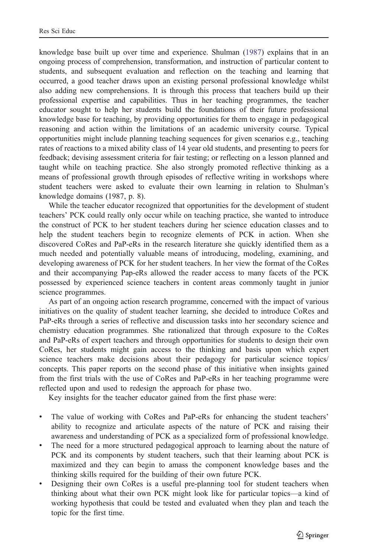knowledge base built up over time and experience. Shulman [\(1987](#page-14-0)) explains that in an ongoing process of comprehension, transformation, and instruction of particular content to students, and subsequent evaluation and reflection on the teaching and learning that occurred, a good teacher draws upon an existing personal professional knowledge whilst also adding new comprehensions. It is through this process that teachers build up their professional expertise and capabilities. Thus in her teaching programmes, the teacher educator sought to help her students build the foundations of their future professional knowledge base for teaching, by providing opportunities for them to engage in pedagogical reasoning and action within the limitations of an academic university course. Typical opportunities might include planning teaching sequences for given scenarios e.g., teaching rates of reactions to a mixed ability class of 14 year old students, and presenting to peers for feedback; devising assessment criteria for fair testing; or reflecting on a lesson planned and taught while on teaching practice. She also strongly promoted reflective thinking as a means of professional growth through episodes of reflective writing in workshops where student teachers were asked to evaluate their own learning in relation to Shulman's knowledge domains (1987, p. 8).

While the teacher educator recognized that opportunities for the development of student teachers' PCK could really only occur while on teaching practice, she wanted to introduce the construct of PCK to her student teachers during her science education classes and to help the student teachers begin to recognize elements of PCK in action. When she discovered CoRes and PaP-eRs in the research literature she quickly identified them as a much needed and potentially valuable means of introducing, modeling, examining, and developing awareness of PCK for her student teachers. In her view the format of the CoRes and their accompanying Pap-eRs allowed the reader access to many facets of the PCK possessed by experienced science teachers in content areas commonly taught in junior science programmes.

As part of an ongoing action research programme, concerned with the impact of various initiatives on the quality of student teacher learning, she decided to introduce CoRes and PaP-eRs through a series of reflective and discussion tasks into her secondary science and chemistry education programmes. She rationalized that through exposure to the CoRes and PaP-eRs of expert teachers and through opportunities for students to design their own CoRes, her students might gain access to the thinking and basis upon which expert science teachers make decisions about their pedagogy for particular science topics/ concepts. This paper reports on the second phase of this initiative when insights gained from the first trials with the use of CoRes and PaP-eRs in her teaching programme were reflected upon and used to redesign the approach for phase two.

Key insights for the teacher educator gained from the first phase were:

- The value of working with CoRes and PaP-eRs for enhancing the student teachers' ability to recognize and articulate aspects of the nature of PCK and raising their awareness and understanding of PCK as a specialized form of professional knowledge.
- The need for a more structured pedagogical approach to learning about the nature of PCK and its components by student teachers, such that their learning about PCK is maximized and they can begin to amass the component knowledge bases and the thinking skills required for the building of their own future PCK.
- Designing their own CoRes is a useful pre-planning tool for student teachers when thinking about what their own PCK might look like for particular topics—a kind of working hypothesis that could be tested and evaluated when they plan and teach the topic for the first time.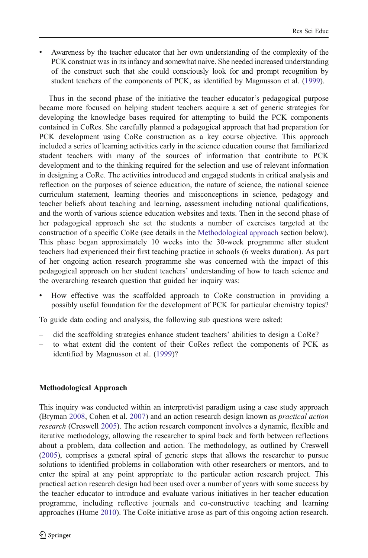Awareness by the teacher educator that her own understanding of the complexity of the PCK construct was in its infancy and somewhat naive. She needed increased understanding of the construct such that she could consciously look for and prompt recognition by student teachers of the components of PCK, as identified by Magnusson et al. [\(1999](#page-14-0)).

Thus in the second phase of the initiative the teacher educator's pedagogical purpose became more focused on helping student teachers acquire a set of generic strategies for developing the knowledge bases required for attempting to build the PCK components contained in CoRes. She carefully planned a pedagogical approach that had preparation for PCK development using CoRe construction as a key course objective. This approach included a series of learning activities early in the science education course that familiarized student teachers with many of the sources of information that contribute to PCK development and to the thinking required for the selection and use of relevant information in designing a CoRe. The activities introduced and engaged students in critical analysis and reflection on the purposes of science education, the nature of science, the national science curriculum statement, learning theories and misconceptions in science, pedagogy and teacher beliefs about teaching and learning, assessment including national qualifications, and the worth of various science education websites and texts. Then in the second phase of her pedagogical approach she set the students a number of exercises targeted at the construction of a specific CoRe (see details in the Methodological approach section below). This phase began approximately 10 weeks into the 30-week programme after student teachers had experienced their first teaching practice in schools (6 weeks duration). As part of her ongoing action research programme she was concerned with the impact of this pedagogical approach on her student teachers' understanding of how to teach science and the overarching research question that guided her inquiry was:

& How effective was the scaffolded approach to CoRe construction in providing a possibly useful foundation for the development of PCK for particular chemistry topics?

To guide data coding and analysis, the following sub questions were asked:

- did the scaffolding strategies enhance student teachers' abilities to design a CoRe?
- to what extent did the content of their CoRes reflect the components of PCK as identified by Magnusson et al. ([1999\)](#page-14-0)?

#### Methodological Approach

This inquiry was conducted within an interpretivist paradigm using a case study approach (Bryman [2008,](#page-14-0) Cohen et al. [2007\)](#page-14-0) and an action research design known as practical action research (Creswell [2005\)](#page-14-0). The action research component involves a dynamic, flexible and iterative methodology, allowing the researcher to spiral back and forth between reflections about a problem, data collection and action. The methodology, as outlined by Creswell ([2005\)](#page-14-0), comprises a general spiral of generic steps that allows the researcher to pursue solutions to identified problems in collaboration with other researchers or mentors, and to enter the spiral at any point appropriate to the particular action research project. This practical action research design had been used over a number of years with some success by the teacher educator to introduce and evaluate various initiatives in her teacher education programme, including reflective journals and co-constructive teaching and learning approaches (Hume [2010](#page-14-0)). The CoRe initiative arose as part of this ongoing action research.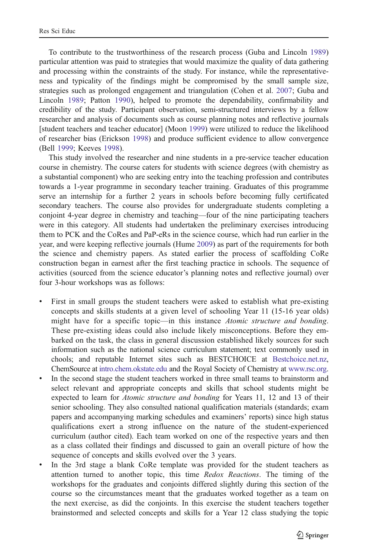To contribute to the trustworthiness of the research process (Guba and Lincoln [1989\)](#page-14-0) particular attention was paid to strategies that would maximize the quality of data gathering and processing within the constraints of the study. For instance, while the representativeness and typicality of the findings might be compromised by the small sample size, strategies such as prolonged engagement and triangulation (Cohen et al. [2007](#page-14-0); Guba and Lincoln [1989](#page-14-0); Patton [1990\)](#page-14-0), helped to promote the dependability, confirmability and credibility of the study. Participant observation, semi-structured interviews by a fellow researcher and analysis of documents such as course planning notes and reflective journals [student teachers and teacher educator] (Moon [1999\)](#page-14-0) were utilized to reduce the likelihood of researcher bias (Erickson [1998](#page-14-0)) and produce sufficient evidence to allow convergence (Bell [1999](#page-14-0); Keeves [1998\)](#page-14-0).

This study involved the researcher and nine students in a pre-service teacher education course in chemistry. The course caters for students with science degrees (with chemistry as a substantial component) who are seeking entry into the teaching profession and contributes towards a 1-year programme in secondary teacher training. Graduates of this programme serve an internship for a further 2 years in schools before becoming fully certificated secondary teachers. The course also provides for undergraduate students completing a conjoint 4-year degree in chemistry and teaching—four of the nine participating teachers were in this category. All students had undertaken the preliminary exercises introducing them to PCK and the CoRes and PaP-eRs in the science course, which had run earlier in the year, and were keeping reflective journals (Hume [2009](#page-14-0)) as part of the requirements for both the science and chemistry papers. As stated earlier the process of scaffolding CoRe construction began in earnest after the first teaching practice in schools. The sequence of activities (sourced from the science educator's planning notes and reflective journal) over four 3-hour workshops was as follows:

- First in small groups the student teachers were asked to establish what pre-existing concepts and skills students at a given level of schooling Year 11 (15-16 year olds) might have for a specific topic—in this instance Atomic structure and bonding. These pre-existing ideas could also include likely misconceptions. Before they embarked on the task, the class in general discussion established likely sources for such information such as the national science curriculum statement; text commonly used in chools; and reputable Internet sites such as BESTCHOICE at [Bestchoice.net.nz](http://Bestchoice.net.nz), ChemSource at [intro.chem.okstate.edu](http://intro.chem.okstate.edu) and the Royal Society of Chemistry at [www.rsc.org](http://www.rsc.org).
- In the second stage the student teachers worked in three small teams to brainstorm and select relevant and appropriate concepts and skills that school students might be expected to learn for Atomic structure and bonding for Years 11, 12 and 13 of their senior schooling. They also consulted national qualification materials (standards; exam papers and accompanying marking schedules and examiners' reports) since high status qualifications exert a strong influence on the nature of the student-experienced curriculum (author cited). Each team worked on one of the respective years and then as a class collated their findings and discussed to gain an overall picture of how the sequence of concepts and skills evolved over the 3 years.
- In the 3rd stage a blank CoRe template was provided for the student teachers as attention turned to another topic, this time Redox Reactions. The timing of the workshops for the graduates and conjoints differed slightly during this section of the course so the circumstances meant that the graduates worked together as a team on the next exercise, as did the conjoints. In this exercise the student teachers together brainstormed and selected concepts and skills for a Year 12 class studying the topic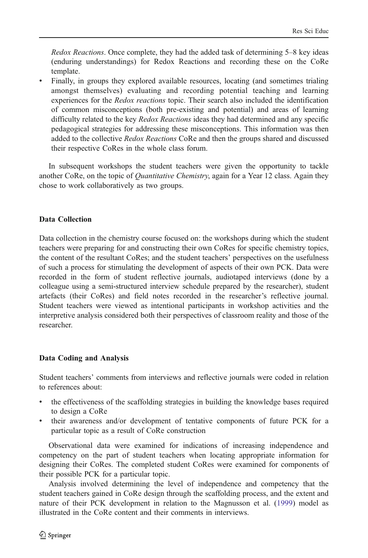Redox Reactions. Once complete, they had the added task of determining 5–8 key ideas (enduring understandings) for Redox Reactions and recording these on the CoRe template.

Finally, in groups they explored available resources, locating (and sometimes trialing amongst themselves) evaluating and recording potential teaching and learning experiences for the *Redox reactions* topic. Their search also included the identification of common misconceptions (both pre-existing and potential) and areas of learning difficulty related to the key *Redox Reactions* ideas they had determined and any specific pedagogical strategies for addressing these misconceptions. This information was then added to the collective Redox Reactions CoRe and then the groups shared and discussed their respective CoRes in the whole class forum.

In subsequent workshops the student teachers were given the opportunity to tackle another CoRe, on the topic of Quantitative Chemistry, again for a Year 12 class. Again they chose to work collaboratively as two groups.

### Data Collection

Data collection in the chemistry course focused on: the workshops during which the student teachers were preparing for and constructing their own CoRes for specific chemistry topics, the content of the resultant CoRes; and the student teachers' perspectives on the usefulness of such a process for stimulating the development of aspects of their own PCK. Data were recorded in the form of student reflective journals, audiotaped interviews (done by a colleague using a semi-structured interview schedule prepared by the researcher), student artefacts (their CoRes) and field notes recorded in the researcher's reflective journal. Student teachers were viewed as intentional participants in workshop activities and the interpretive analysis considered both their perspectives of classroom reality and those of the researcher.

#### Data Coding and Analysis

Student teachers' comments from interviews and reflective journals were coded in relation to references about:

- & the effectiveness of the scaffolding strategies in building the knowledge bases required to design a CoRe
- their awareness and/or development of tentative components of future PCK for a particular topic as a result of CoRe construction

Observational data were examined for indications of increasing independence and competency on the part of student teachers when locating appropriate information for designing their CoRes. The completed student CoRes were examined for components of their possible PCK for a particular topic.

Analysis involved determining the level of independence and competency that the student teachers gained in CoRe design through the scaffolding process, and the extent and nature of their PCK development in relation to the Magnusson et al. ([1999\)](#page-14-0) model as illustrated in the CoRe content and their comments in interviews.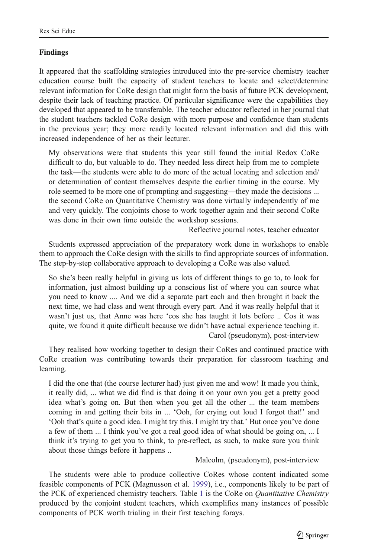# Findings

It appeared that the scaffolding strategies introduced into the pre-service chemistry teacher education course built the capacity of student teachers to locate and select/determine relevant information for CoRe design that might form the basis of future PCK development, despite their lack of teaching practice. Of particular significance were the capabilities they developed that appeared to be transferable. The teacher educator reflected in her journal that the student teachers tackled CoRe design with more purpose and confidence than students in the previous year; they more readily located relevant information and did this with increased independence of her as their lecturer.

My observations were that students this year still found the initial Redox CoRe difficult to do, but valuable to do. They needed less direct help from me to complete the task—the students were able to do more of the actual locating and selection and/ or determination of content themselves despite the earlier timing in the course. My role seemed to be more one of prompting and suggesting—they made the decisions ... the second CoRe on Quantitative Chemistry was done virtually independently of me and very quickly. The conjoints chose to work together again and their second CoRe was done in their own time outside the workshop sessions.

Reflective journal notes, teacher educator

Students expressed appreciation of the preparatory work done in workshops to enable them to approach the CoRe design with the skills to find appropriate sources of information. The step-by-step collaborative approach to developing a CoRe was also valued.

So she's been really helpful in giving us lots of different things to go to, to look for information, just almost building up a conscious list of where you can source what you need to know .... And we did a separate part each and then brought it back the next time, we had class and went through every part. And it was really helpful that it wasn't just us, that Anne was here 'cos she has taught it lots before .. Cos it was quite, we found it quite difficult because we didn't have actual experience teaching it. Carol (pseudonym), post-interview

They realised how working together to design their CoRes and continued practice with CoRe creation was contributing towards their preparation for classroom teaching and learning.

I did the one that (the course lecturer had) just given me and wow! It made you think, it really did, ... what we did find is that doing it on your own you get a pretty good idea what's going on. But then when you get all the other ... the team members coming in and getting their bits in ... 'Ooh, for crying out loud I forgot that!' and 'Ooh that's quite a good idea. I might try this. I might try that.' But once you've done a few of them ... I think you've got a real good idea of what should be going on, ... I think it's trying to get you to think, to pre-reflect, as such, to make sure you think about those things before it happens ..

# Malcolm, (pseudonym), post-interview

The students were able to produce collective CoRes whose content indicated some feasible components of PCK (Magnusson et al. [1999](#page-14-0)), i.e., components likely to be part of the PCK of experienced chemistry teachers. Table [1](#page-9-0) is the CoRe on *Quantitative Chemistry* produced by the conjoint student teachers, which exemplifies many instances of possible components of PCK worth trialing in their first teaching forays.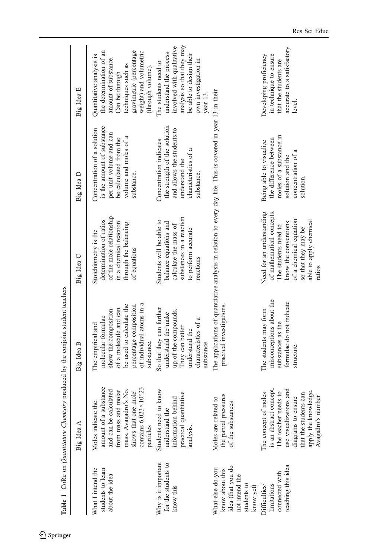<span id="page-9-0"></span>

|                                                                                                        |                                                                                                                                                                                               | Table 1 CoRe on <i>Quantitative Chemistry</i> produced by the conjoint student teachers                                                                                                  |                                                                                                                                                                                              |                                                                                                                                                       |                                                                                                                                                                                               |
|--------------------------------------------------------------------------------------------------------|-----------------------------------------------------------------------------------------------------------------------------------------------------------------------------------------------|------------------------------------------------------------------------------------------------------------------------------------------------------------------------------------------|----------------------------------------------------------------------------------------------------------------------------------------------------------------------------------------------|-------------------------------------------------------------------------------------------------------------------------------------------------------|-----------------------------------------------------------------------------------------------------------------------------------------------------------------------------------------------|
|                                                                                                        | Big Idea A                                                                                                                                                                                    | Big Idea B                                                                                                                                                                               | Big Idea C                                                                                                                                                                                   | Big Idea D                                                                                                                                            | Big Idea E                                                                                                                                                                                    |
| What I intend the<br>students to learn<br>about the idea                                               | a substance<br>contains $6.023 \times 10^{8}$<br>mass. Avagadro's No.<br>and can be calculated<br>from mass and molar<br>shows that one mole<br>Moles indicate the<br>amount of<br>particles  | of individual atoms in a<br>be used to calculate the<br>percentage composition<br>of a molecule and can<br>show the composition<br>molecular formulae<br>The empirical and<br>substance. | of the mole relationship<br>determination of ratios<br>in a chemical reaction<br>through the balancing<br>Stoichiometry is the<br>of equations                                               | is the amount of substance<br>Concentration of a solution<br>per unit volume and can<br>volume and moles of a<br>be calculated from the<br>substance. | gravimetric (percentage<br>the determination of an<br>weight) and volumetric<br>Quantitative analysis is<br>amount of substance.<br>techniques such as<br>(through volume).<br>Can be through |
| Why is it important<br>for the students to<br>know this                                                | Students need to know<br>practical quantitative<br>information behind<br>the<br>understand<br>analysis.                                                                                       | So that they can further<br>up of the compounds.<br>understand the make<br>characteristics of a<br>They can better<br>understand the<br>substance                                        | substances in a reaction<br>Students will be able to<br>balance equations and<br>calculate the mass of<br>to perform accurate<br>reactions                                                   | the strength of the solution<br>and allows the students to<br>Concentration indicates<br>characteristics of a<br>understand the<br>substance.         | analysis so that they may<br>involved with qualitative<br>understand the process<br>be able to design their<br>own investigation in<br>The students need to<br>$\frac{13}{3}$                 |
| idea (that you do<br>What else do you<br>know about this<br>not intend the<br>students to<br>know yet) | pressures<br>Moles are related to<br>of the substances<br>the partial                                                                                                                         | practical investigations.                                                                                                                                                                |                                                                                                                                                                                              | The applications of quantitative analysis in relation to every day life. This is covered in year 13 in their                                          |                                                                                                                                                                                               |
| teaching this idea<br>connected with<br>limitations<br>Difficulties/                                   | is an abstract concept.<br>use visualizations and<br>apply the knowledge.<br>The teacher needs to<br>The concept of moles<br>that the students can<br>Avagadro's number<br>diagrams to ensure | misconceptions about the<br>formulae do not indicate<br>The students may form<br>substances as the<br>structure                                                                          | Need for an understanding<br>of mathematical concepts.<br>of a chemical equation<br>able to apply chemical<br>know the conventions<br>The students need to<br>so that they may be<br>ratios. | moles of a substance in<br>the difference between<br>Being able to visualize<br>concentration of a<br>solution and the<br>solution.                   | accurate to a satisfactory<br>in technique to ensure<br>Developing proficiency<br>that the students are<br>level.                                                                             |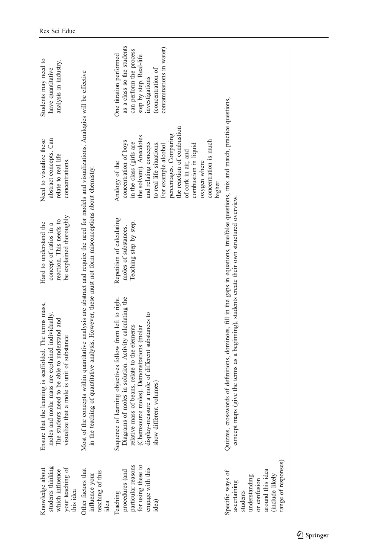| students thinking<br>your teaching of<br>Knowledge about<br>which influence<br>this idea                                                    | Ensure that the learning is scaffolded. The terms mass,<br>moles and molar mass are explained individually.<br>The students need to be able to understand and<br>visualize that a mole is unit of substance                                                                                          | be explained thoroughly<br>reaction. This needs to<br>Hard to understand the<br>concept of ratios in a | abstract concepts. Can<br>Need to visualize these<br>relate to real life<br>concentrations.                                                                                    | Students may need to<br>analysis in industry.<br>have quantitative                                                                                 |
|---------------------------------------------------------------------------------------------------------------------------------------------|------------------------------------------------------------------------------------------------------------------------------------------------------------------------------------------------------------------------------------------------------------------------------------------------------|--------------------------------------------------------------------------------------------------------|--------------------------------------------------------------------------------------------------------------------------------------------------------------------------------|----------------------------------------------------------------------------------------------------------------------------------------------------|
| Other factors that<br>teaching of this<br>influence your<br>idea                                                                            | Most of the concepts within quantitative analysis are abstract and require the need for models and visualizations. Analogies will be effective<br>in the teaching of quantitative analysis. However, these must not form misconceptions about chemistry.                                             |                                                                                                        |                                                                                                                                                                                |                                                                                                                                                    |
| particular reasons<br>for using these to<br>engage with this<br>procedures (and<br>Teaching<br>idea)                                        | Sequence of learning objectives follow from left to right.<br>Diagrams of moles in solution. Activity calculating the<br>display-measure a mole of different substances to<br>relative mass of beans, relate to the elements<br>(Chemsource moles). Demonstrations (molar<br>show different volumes) | Repetition of calculating<br>Teaching step by step.<br>moles of substances.                            | the solvent). Anecdotes<br>concentration of boys<br>and relating concepts<br>in the class (girls are<br>to real life situations.<br>Analogy of the                             | as a class so the students<br>can perform the process<br>One titration performed<br>step by step. Real-life<br>(concentration of<br>investigations |
|                                                                                                                                             |                                                                                                                                                                                                                                                                                                      |                                                                                                        | the reaction of combustion<br>percentages. Comparing<br>concentration is much<br>combustion in liquid<br>For example alcohol<br>of cork in air, and<br>oxygen where<br>higher. | contaminations in water).                                                                                                                          |
| range of responses)<br>around this idea<br>Specific ways of<br>(include likely<br>understanding<br>or confusion<br>ascertaining<br>students | Quizzes, crosswords of definitions, dominoes, fill in the gaps in equations, true/false questions, mix and match, practice questions,<br>concept maps (give the terms as a beginning), students create their own structured overview.                                                                |                                                                                                        |                                                                                                                                                                                |                                                                                                                                                    |
|                                                                                                                                             |                                                                                                                                                                                                                                                                                                      |                                                                                                        |                                                                                                                                                                                |                                                                                                                                                    |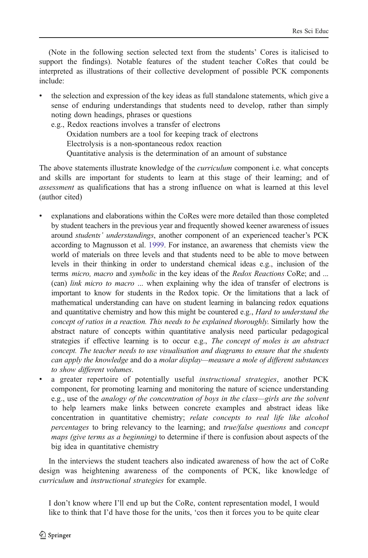(Note in the following section selected text from the students' Cores is italicised to support the findings). Notable features of the student teacher CoRes that could be interpreted as illustrations of their collective development of possible PCK components include:

& the selection and expression of the key ideas as full standalone statements, which give a sense of enduring understandings that students need to develop, rather than simply noting down headings, phrases or questions

e.g., Redox reactions involves a transfer of electrons Oxidation numbers are a tool for keeping track of electrons Electrolysis is a non-spontaneous redox reaction Quantitative analysis is the determination of an amount of substance

The above statements illustrate knowledge of the *curriculum* component i.e. what concepts and skills are important for students to learn at this stage of their learning; and of assessment as qualifications that has a strong influence on what is learned at this level (author cited)

- explanations and elaborations within the CoRes were more detailed than those completed by student teachers in the previous year and frequently showed keener awareness of issues around students' understandings, another component of an experienced teacher's PCK according to Magnusson et al. [1999.](#page-14-0) For instance, an awareness that chemists view the world of materials on three levels and that students need to be able to move between levels in their thinking in order to understand chemical ideas e.g., inclusion of the terms *micro, macro* and *symbolic* in the key ideas of the *Redox Reactions* CoRe; and ... (can) link micro to macro ... when explaining why the idea of transfer of electrons is important to know for students in the Redox topic. Or the limitations that a lack of mathematical understanding can have on student learning in balancing redox equations and quantitative chemistry and how this might be countered e.g., *Hard to understand the* concept of ratios in a reaction. This needs to be explained thoroughly. Similarly how the abstract nature of concepts within quantitative analysis need particular pedagogical strategies if effective learning is to occur e.g., The concept of moles is an abstract concept. The teacher needs to use visualisation and diagrams to ensure that the students can apply the knowledge and do a molar display—measure a mole of different substances to show different volumes.
- a greater repertoire of potentially useful *instructional strategies*, another PCK component, for promoting learning and monitoring the nature of science understanding e.g., use of the *analogy of the concentration of boys in the class—girls are the solvent* to help learners make links between concrete examples and abstract ideas like concentration in quantitative chemistry; relate concepts to real life like alcohol percentages to bring relevancy to the learning; and true/false questions and concept maps (give terms as a beginning) to determine if there is confusion about aspects of the big idea in quantitative chemistry

In the interviews the student teachers also indicated awareness of how the act of CoRe design was heightening awareness of the components of PCK, like knowledge of curriculum and instructional strategies for example.

I don't know where I'll end up but the CoRe, content representation model, I would like to think that I'd have those for the units, 'cos then it forces you to be quite clear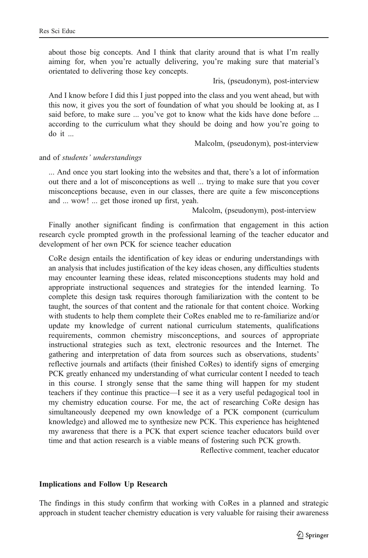about those big concepts. And I think that clarity around that is what I'm really aiming for, when you're actually delivering, you're making sure that material's orientated to delivering those key concepts.

Iris, (pseudonym), post-interview

And I know before I did this I just popped into the class and you went ahead, but with this now, it gives you the sort of foundation of what you should be looking at, as I said before, to make sure ... you've got to know what the kids have done before ... according to the curriculum what they should be doing and how you're going to do it ...

Malcolm, (pseudonym), post-interview

#### and of students' understandings

... And once you start looking into the websites and that, there's a lot of information out there and a lot of misconceptions as well ... trying to make sure that you cover misconceptions because, even in our classes, there are quite a few misconceptions and ... wow! ... get those ironed up first, yeah.

Malcolm, (pseudonym), post-interview

Finally another significant finding is confirmation that engagement in this action research cycle prompted growth in the professional learning of the teacher educator and development of her own PCK for science teacher education

CoRe design entails the identification of key ideas or enduring understandings with an analysis that includes justification of the key ideas chosen, any difficulties students may encounter learning these ideas, related misconceptions students may hold and appropriate instructional sequences and strategies for the intended learning. To complete this design task requires thorough familiarization with the content to be taught, the sources of that content and the rationale for that content choice. Working with students to help them complete their CoRes enabled me to re-familiarize and/or update my knowledge of current national curriculum statements, qualifications requirements, common chemistry misconceptions, and sources of appropriate instructional strategies such as text, electronic resources and the Internet. The gathering and interpretation of data from sources such as observations, students' reflective journals and artifacts (their finished CoRes) to identify signs of emerging PCK greatly enhanced my understanding of what curricular content I needed to teach in this course. I strongly sense that the same thing will happen for my student teachers if they continue this practice—I see it as a very useful pedagogical tool in my chemistry education course. For me, the act of researching CoRe design has simultaneously deepened my own knowledge of a PCK component (curriculum knowledge) and allowed me to synthesize new PCK. This experience has heightened my awareness that there is a PCK that expert science teacher educators build over time and that action research is a viable means of fostering such PCK growth.

Reflective comment, teacher educator

#### Implications and Follow Up Research

The findings in this study confirm that working with CoRes in a planned and strategic approach in student teacher chemistry education is very valuable for raising their awareness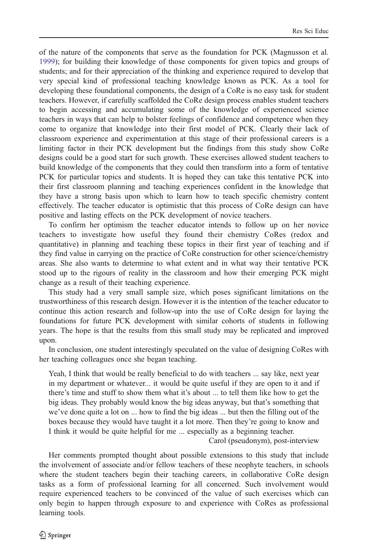of the nature of the components that serve as the foundation for PCK (Magnusson et al. [1999\)](#page-14-0); for building their knowledge of those components for given topics and groups of students; and for their appreciation of the thinking and experience required to develop that very special kind of professional teaching knowledge known as PCK. As a tool for developing these foundational components, the design of a CoRe is no easy task for student teachers. However, if carefully scaffolded the CoRe design process enables student teachers to begin accessing and accumulating some of the knowledge of experienced science teachers in ways that can help to bolster feelings of confidence and competence when they come to organize that knowledge into their first model of PCK. Clearly their lack of classroom experience and experimentation at this stage of their professional careers is a limiting factor in their PCK development but the findings from this study show CoRe designs could be a good start for such growth. These exercises allowed student teachers to build knowledge of the components that they could then transform into a form of tentative PCK for particular topics and students. It is hoped they can take this tentative PCK into their first classroom planning and teaching experiences confident in the knowledge that they have a strong basis upon which to learn how to teach specific chemistry content effectively. The teacher educator is optimistic that this process of CoRe design can have positive and lasting effects on the PCK development of novice teachers.

To confirm her optimism the teacher educator intends to follow up on her novice teachers to investigate how useful they found their chemistry CoRes (redox and quantitative) in planning and teaching these topics in their first year of teaching and if they find value in carrying on the practice of CoRe construction for other science/chemistry areas. She also wants to determine to what extent and in what way their tentative PCK stood up to the rigours of reality in the classroom and how their emerging PCK might change as a result of their teaching experience.

This study had a very small sample size, which poses significant limitations on the trustworthiness of this research design. However it is the intention of the teacher educator to continue this action research and follow-up into the use of CoRe design for laying the foundations for future PCK development with similar cohorts of students in following years. The hope is that the results from this small study may be replicated and improved upon.

In conclusion, one student interestingly speculated on the value of designing CoRes with her teaching colleagues once she began teaching.

Yeah, I think that would be really beneficial to do with teachers ... say like, next year in my department or whatever... it would be quite useful if they are open to it and if there's time and stuff to show them what it's about ... to tell them like how to get the big ideas. They probably would know the big ideas anyway, but that's something that we've done quite a lot on ... how to find the big ideas ... but then the filling out of the boxes because they would have taught it a lot more. Then they're going to know and I think it would be quite helpful for me ... especially as a beginning teacher.

Carol (pseudonym), post-interview

Her comments prompted thought about possible extensions to this study that include the involvement of associate and/or fellow teachers of these neophyte teachers, in schools where the student teachers begin their teaching careers, in collaborative CoRe design tasks as a form of professional learning for all concerned. Such involvement would require experienced teachers to be convinced of the value of such exercises which can only begin to happen through exposure to and experience with CoRes as professional learning tools.